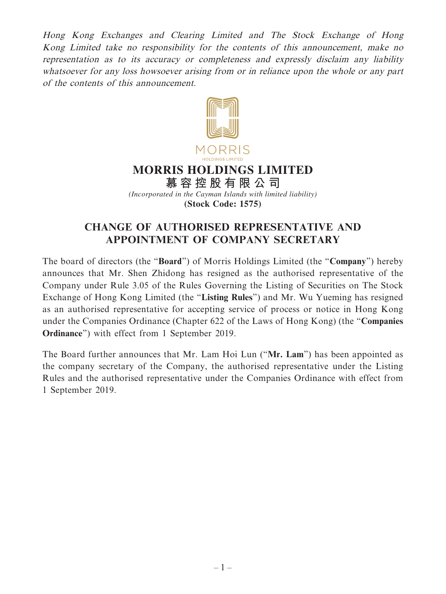Hong Kong Exchanges and Clearing Limited and The Stock Exchange of Hong Kong Limited take no responsibility for the contents of this announcement, make no representation as to its accuracy or completeness and expressly disclaim any liability whatsoever for any loss howsoever arising from or in reliance upon the whole or any part of the contents of this announcement.



## **CHANGE OF AUTHORISED REPRESENTATIVE AND APPOINTMENT OF COMPANY SECRETARY**

The board of directors (the "**Board**") of Morris Holdings Limited (the "**Company**") hereby announces that Mr. Shen Zhidong has resigned as the authorised representative of the Company under Rule 3.05 of the Rules Governing the Listing of Securities on The Stock Exchange of Hong Kong Limited (the "**Listing Rules**") and Mr. Wu Yueming has resigned as an authorised representative for accepting service of process or notice in Hong Kong under the Companies Ordinance (Chapter 622 of the Laws of Hong Kong) (the "**Companies Ordinance**") with effect from 1 September 2019.

The Board further announces that Mr. Lam Hoi Lun ("**Mr. Lam**") has been appointed as the company secretary of the Company, the authorised representative under the Listing Rules and the authorised representative under the Companies Ordinance with effect from 1 September 2019.